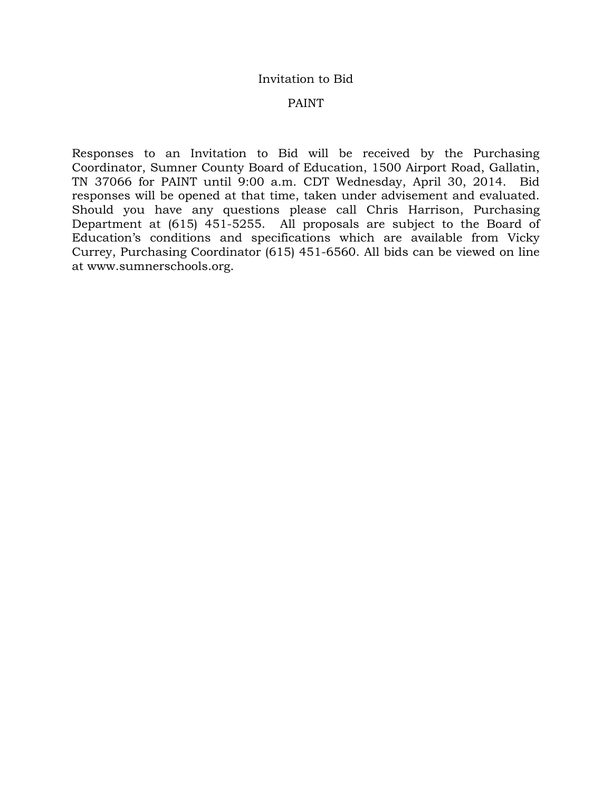#### Invitation to Bid

#### PAINT

Responses to an Invitation to Bid will be received by the Purchasing Coordinator, Sumner County Board of Education, 1500 Airport Road, Gallatin, TN 37066 for PAINT until 9:00 a.m. CDT Wednesday, April 30, 2014. Bid responses will be opened at that time, taken under advisement and evaluated. Should you have any questions please call Chris Harrison, Purchasing Department at (615) 451-5255. All proposals are subject to the Board of Education's conditions and specifications which are available from Vicky Currey, Purchasing Coordinator (615) 451-6560. All bids can be viewed on line at www.sumnerschools.org.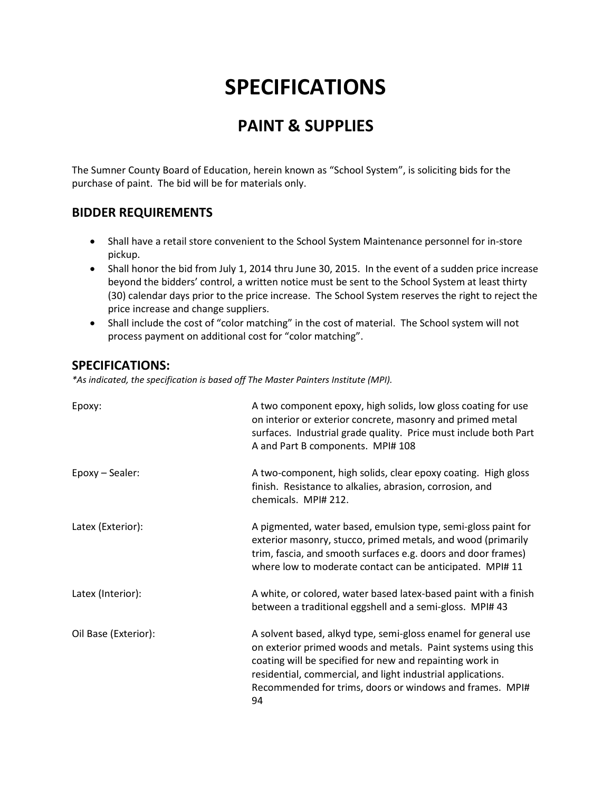# **SPECIFICATIONS**

### **PAINT & SUPPLIES**

The Sumner County Board of Education, herein known as "School System", is soliciting bids for the purchase of paint. The bid will be for materials only.

#### **BIDDER REQUIREMENTS**

- Shall have a retail store convenient to the School System Maintenance personnel for in-store pickup.
- Shall honor the bid from July 1, 2014 thru June 30, 2015. In the event of a sudden price increase beyond the bidders' control, a written notice must be sent to the School System at least thirty (30) calendar days prior to the price increase. The School System reserves the right to reject the price increase and change suppliers.
- Shall include the cost of "color matching" in the cost of material. The School system will not process payment on additional cost for "color matching".

#### **SPECIFICATIONS:**

*\*As indicated, the specification is based off The Master Painters Institute (MPI).*

| Epoxy:               | A two component epoxy, high solids, low gloss coating for use<br>on interior or exterior concrete, masonry and primed metal<br>surfaces. Industrial grade quality. Price must include both Part<br>A and Part B components. MPI# 108                                                                                         |
|----------------------|------------------------------------------------------------------------------------------------------------------------------------------------------------------------------------------------------------------------------------------------------------------------------------------------------------------------------|
| Epoxy - Sealer:      | A two-component, high solids, clear epoxy coating. High gloss<br>finish. Resistance to alkalies, abrasion, corrosion, and<br>chemicals. MPI# 212.                                                                                                                                                                            |
| Latex (Exterior):    | A pigmented, water based, emulsion type, semi-gloss paint for<br>exterior masonry, stucco, primed metals, and wood (primarily<br>trim, fascia, and smooth surfaces e.g. doors and door frames)<br>where low to moderate contact can be anticipated. MPI# 11                                                                  |
| Latex (Interior):    | A white, or colored, water based latex-based paint with a finish<br>between a traditional eggshell and a semi-gloss. MPI# 43                                                                                                                                                                                                 |
| Oil Base (Exterior): | A solvent based, alkyd type, semi-gloss enamel for general use<br>on exterior primed woods and metals. Paint systems using this<br>coating will be specified for new and repainting work in<br>residential, commercial, and light industrial applications.<br>Recommended for trims, doors or windows and frames. MPI#<br>94 |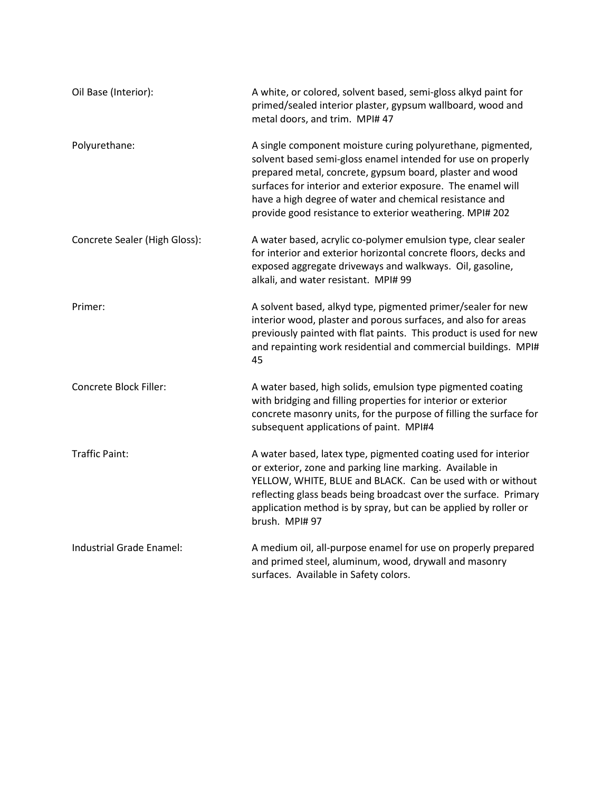| Oil Base (Interior):          | A white, or colored, solvent based, semi-gloss alkyd paint for<br>primed/sealed interior plaster, gypsum wallboard, wood and<br>metal doors, and trim. MPI# 47                                                                                                                                                                                                                 |
|-------------------------------|--------------------------------------------------------------------------------------------------------------------------------------------------------------------------------------------------------------------------------------------------------------------------------------------------------------------------------------------------------------------------------|
| Polyurethane:                 | A single component moisture curing polyurethane, pigmented,<br>solvent based semi-gloss enamel intended for use on properly<br>prepared metal, concrete, gypsum board, plaster and wood<br>surfaces for interior and exterior exposure. The enamel will<br>have a high degree of water and chemical resistance and<br>provide good resistance to exterior weathering. MPI# 202 |
| Concrete Sealer (High Gloss): | A water based, acrylic co-polymer emulsion type, clear sealer<br>for interior and exterior horizontal concrete floors, decks and<br>exposed aggregate driveways and walkways. Oil, gasoline,<br>alkali, and water resistant. MPI# 99                                                                                                                                           |
| Primer:                       | A solvent based, alkyd type, pigmented primer/sealer for new<br>interior wood, plaster and porous surfaces, and also for areas<br>previously painted with flat paints. This product is used for new<br>and repainting work residential and commercial buildings. MPI#<br>45                                                                                                    |
| Concrete Block Filler:        | A water based, high solids, emulsion type pigmented coating<br>with bridging and filling properties for interior or exterior<br>concrete masonry units, for the purpose of filling the surface for<br>subsequent applications of paint. MPI#4                                                                                                                                  |
| <b>Traffic Paint:</b>         | A water based, latex type, pigmented coating used for interior<br>or exterior, zone and parking line marking. Available in<br>YELLOW, WHITE, BLUE and BLACK. Can be used with or without<br>reflecting glass beads being broadcast over the surface. Primary<br>application method is by spray, but can be applied by roller or<br>brush. MPI# 97                              |
| Industrial Grade Enamel:      | A medium oil, all-purpose enamel for use on properly prepared<br>and primed steel, aluminum, wood, drywall and masonry<br>surfaces. Available in Safety colors.                                                                                                                                                                                                                |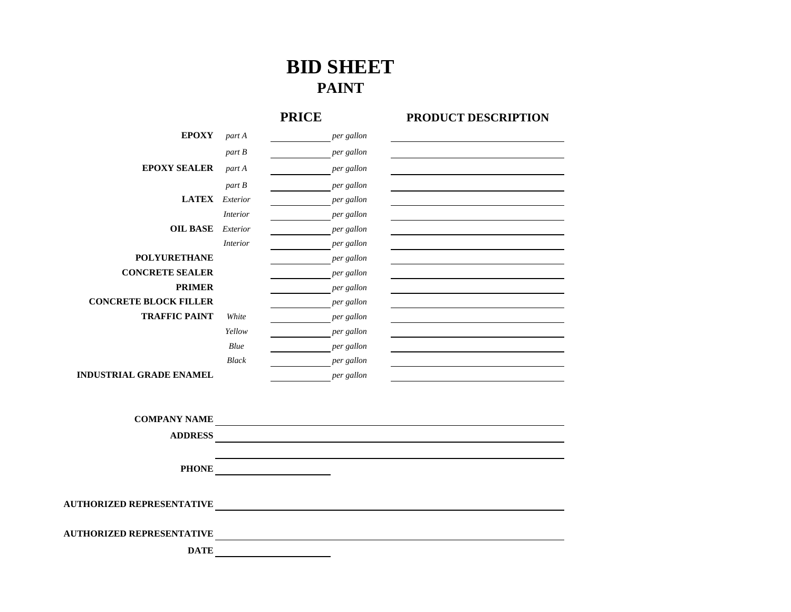## **BID SHEET PAINT**

### **PRICE**

#### **PRODUCT DESCRIPTION**

| <b>EPOXY</b>                   | part A          | per gallon |  |
|--------------------------------|-----------------|------------|--|
|                                | part B          | per gallon |  |
| <b>EPOXY SEALER</b>            | part A          | per gallon |  |
|                                | part B          | per gallon |  |
| <b>LATEX</b>                   | Exterior        | per gallon |  |
|                                | <i>Interior</i> | per gallon |  |
| <b>OIL BASE</b>                | Exterior        | per gallon |  |
|                                | <i>Interior</i> | per gallon |  |
| <b>POLYURETHANE</b>            |                 | per gallon |  |
| <b>CONCRETE SEALER</b>         |                 | per gallon |  |
| <b>PRIMER</b>                  |                 | per gallon |  |
| <b>CONCRETE BLOCK FILLER</b>   |                 | per gallon |  |
| <b>TRAFFIC PAINT</b>           | White           | per gallon |  |
|                                | Yellow          | per gallon |  |
|                                | Blue            | per gallon |  |
|                                | <b>Black</b>    | per gallon |  |
| <b>INDUSTRIAL GRADE ENAMEL</b> |                 | per gallon |  |
|                                |                 |            |  |
|                                |                 |            |  |
| $CONID$ a NIV NI A ME          |                 |            |  |